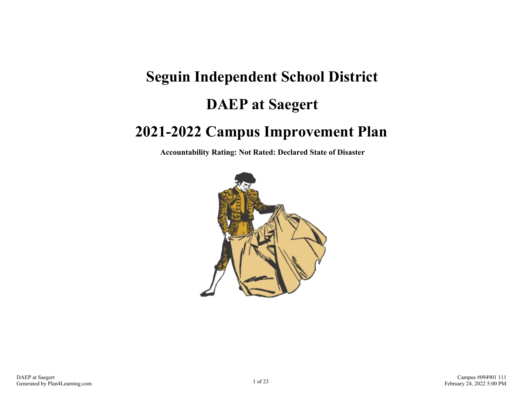# **Seguin Independent School District DAEP at Saegert 2021-2022 Campus Improvement Plan**

**Accountability Rating: Not Rated: Declared State of Disaster**

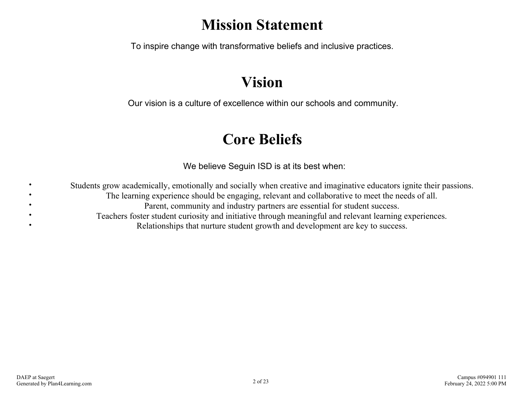## **Mission Statement**

To inspire change with transformative beliefs and inclusive practices.

## **Vision**

Our vision is a culture of excellence within our schools and community.

## **Core Beliefs**

We believe Seguin ISD is at its best when:

Students grow academically, emotionally and socially when creative and imaginative educators ignite their passions. The learning experience should be engaging, relevant and collaborative to meet the needs of all. Parent, community and industry partners are essential for student success. Teachers foster student curiosity and initiative through meaningful and relevant learning experiences. Relationships that nurture student growth and development are key to success.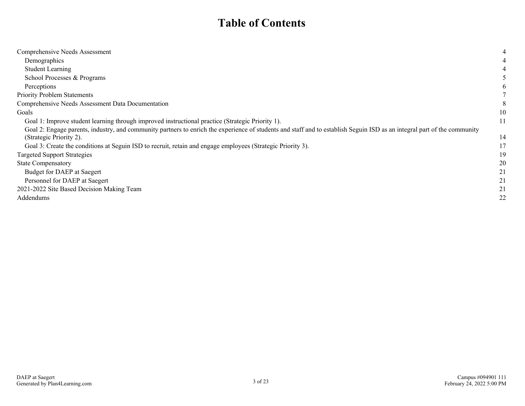### **Table of Contents**

| Comprehensive Needs Assessment                                                                                                                                           | 4            |
|--------------------------------------------------------------------------------------------------------------------------------------------------------------------------|--------------|
| Demographics                                                                                                                                                             |              |
| <b>Student Learning</b>                                                                                                                                                  |              |
| School Processes & Programs                                                                                                                                              |              |
| Perceptions                                                                                                                                                              | <sub>0</sub> |
| <b>Priority Problem Statements</b>                                                                                                                                       |              |
| Comprehensive Needs Assessment Data Documentation                                                                                                                        | 8            |
| Goals                                                                                                                                                                    | 10           |
| Goal 1: Improve student learning through improved instructional practice (Strategic Priority 1).                                                                         | 11           |
| Goal 2: Engage parents, industry, and community partners to enrich the experience of students and staff and to establish Seguin ISD as an integral part of the community |              |
| (Strategic Priority 2).                                                                                                                                                  | 14           |
| Goal 3: Create the conditions at Seguin ISD to recruit, retain and engage employees (Strategic Priority 3).                                                              | 17           |
| <b>Targeted Support Strategies</b>                                                                                                                                       | 19           |
| <b>State Compensatory</b>                                                                                                                                                | 20           |
| Budget for DAEP at Saegert                                                                                                                                               |              |
| Personnel for DAEP at Saegert                                                                                                                                            |              |
| 2021-2022 Site Based Decision Making Team                                                                                                                                |              |
| Addendums                                                                                                                                                                | 22           |
|                                                                                                                                                                          |              |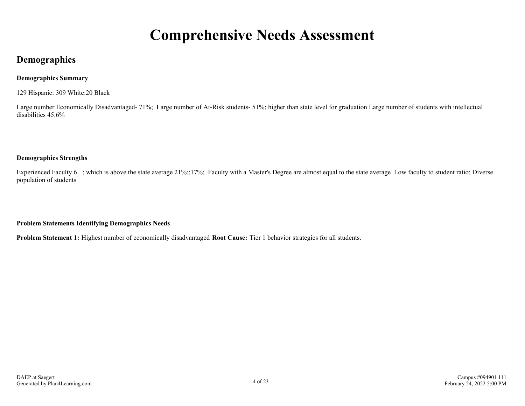## **Comprehensive Needs Assessment**

### <span id="page-3-0"></span>**Demographics**

### **Demographics Summary**

129 Hispanic: 309 White:20 Black

Large number Economically Disadvantaged- 71%; Large number of At-Risk students- 51%; higher than state level for graduation Large number of students with intellectual disabilities 45.6%

### **Demographics Strengths**

Experienced Faculty 6+ ; which is above the state average 21%::17%; Faculty with a Master's Degree are almost equal to the state average Low faculty to student ratio; Diverse population of students

**Problem Statements Identifying Demographics Needs**

**Problem Statement 1:** Highest number of economically disadvantaged **Root Cause:** Tier 1 behavior strategies for all students.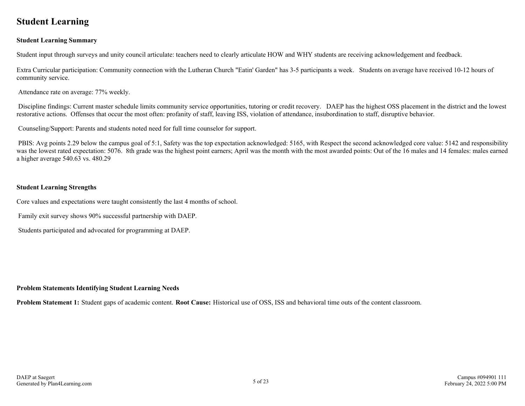### <span id="page-4-0"></span>**Student Learning**

### **Student Learning Summary**

Student input through surveys and unity council articulate: teachers need to clearly articulate HOW and WHY students are receiving acknowledgement and feedback.

Extra Curricular participation: Community connection with the Lutheran Church "Eatin' Garden" has 3-5 participants a week. Students on average have received 10-12 hours of community service.

Attendance rate on average: 77% weekly.

 Discipline findings: Current master schedule limits community service opportunities, tutoring or credit recovery. DAEP has the highest OSS placement in the district and the lowest restorative actions. Offenses that occur the most often: profanity of staff, leaving ISS, violation of attendance, insubordination to staff, disruptive behavior.

Counseling/Support: Parents and students noted need for full time counselor for support.

PBIS: Avg points 2.29 below the campus goal of 5:1, Safety was the top expectation acknowledged: 5165, with Respect the second acknowledged core value: 5142 and responsibility was the lowest rated expectation: 5076. 8th grade was the highest point earners; April was the month with the most awarded points: Out of the 16 males and 14 females: males earned a higher average 540.63 vs. 480.29

#### **Student Learning Strengths**

Core values and expectations were taught consistently the last 4 months of school.

Family exit survey shows 90% successful partnership with DAEP.

Students participated and advocated for programming at DAEP.

#### **Problem Statements Identifying Student Learning Needs**

**Problem Statement 1:** Student gaps of academic content. **Root Cause:** Historical use of OSS, ISS and behavioral time outs of the content classroom.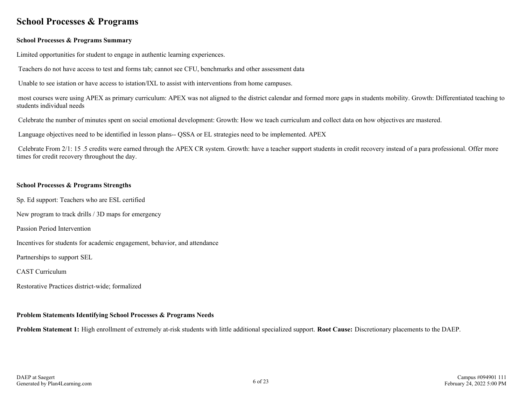### <span id="page-5-0"></span>**School Processes & Programs**

#### **School Processes & Programs Summary**

Limited opportunities for student to engage in authentic learning experiences.

Teachers do not have access to test and forms tab; cannot see CFU, benchmarks and other assessment data

Unable to see istation or have access to istation/IXL to assist with interventions from home campuses.

 most courses were using APEX as primary curriculum: APEX was not aligned to the district calendar and formed more gaps in students mobility. Growth: Differentiated teaching to students individual needs

Celebrate the number of minutes spent on social emotional development: Growth: How we teach curriculum and collect data on how objectives are mastered.

Language objectives need to be identified in lesson plans-- QSSA or EL strategies need to be implemented. APEX

 Celebrate From 2/1: 15 .5 credits were earned through the APEX CR system. Growth: have a teacher support students in credit recovery instead of a para professional. Offer more times for credit recovery throughout the day.

#### **School Processes & Programs Strengths**

Sp. Ed support: Teachers who are ESL certified

New program to track drills / 3D maps for emergency

Passion Period Intervention

Incentives for students for academic engagement, behavior, and attendance

Partnerships to support SEL

CAST Curriculum

Restorative Practices district-wide; formalized

### **Problem Statements Identifying School Processes & Programs Needs**

**Problem Statement 1:** High enrollment of extremely at-risk students with little additional specialized support. **Root Cause:** Discretionary placements to the DAEP.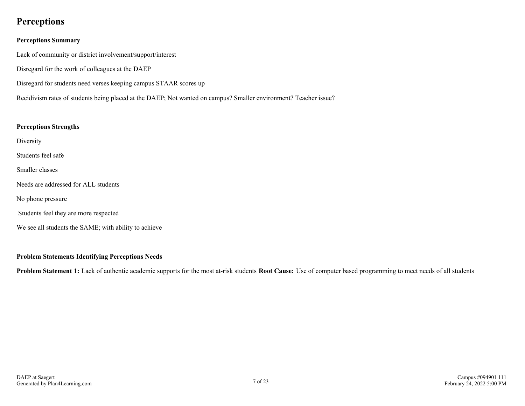### <span id="page-6-0"></span>**Perceptions**

### **Perceptions Summary**

Lack of community or district involvement/support/interest

Disregard for the work of colleagues at the DAEP

Disregard for students need verses keeping campus STAAR scores up

Recidivism rates of students being placed at the DAEP; Not wanted on campus? Smaller environment? Teacher issue?

### **Perceptions Strengths**

Diversity

Students feel safe

Smaller classes

Needs are addressed for ALL students

No phone pressure

Students feel they are more respected

We see all students the SAME; with ability to achieve

### **Problem Statements Identifying Perceptions Needs**

**Problem Statement 1:** Lack of authentic academic supports for the most at-risk students **Root Cause:** Use of computer based programming to meet needs of all students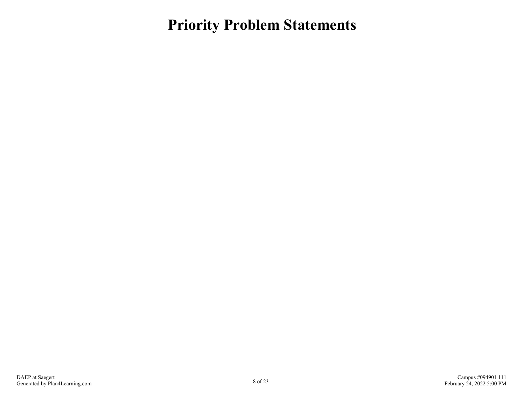<span id="page-7-0"></span>**Priority Problem Statements**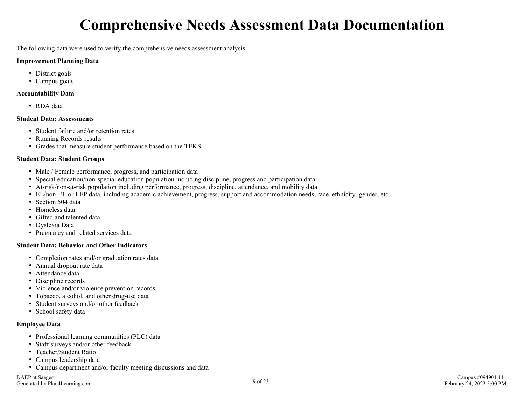## **Comprehensive Needs Assessment Data Documentation**

<span id="page-8-0"></span>The following data were used to verify the comprehensive needs assessment analysis:

#### **Improvement Planning Data**

- District goals
- Campus goals

#### **Accountability Data**

RDA data

#### **Student Data: Assessments**

- Student failure and/or retention rates
- Running Records results
- Grades that measure student performance based on the TEKS

### **Student Data: Student Groups**

- Male / Female performance, progress, and participation data
- Special education/non-special education population including discipline, progress and participation data
- At-risk/non-at-risk population including performance, progress, discipline, attendance, and mobility data
- EL/non-EL or LEP data, including academic achievement, progress, support and accommodation needs, race, ethnicity, gender, etc.
- Section 504 data
- Homeless data
- Gifted and talented data
- Dyslexia Data
- Pregnancy and related services data

#### **Student Data: Behavior and Other Indicators**

- Completion rates and/or graduation rates data
- Annual dropout rate data
- Attendance data
- Discipline records
- Violence and/or violence prevention records
- Tobacco, alcohol, and other drug-use data
- Student surveys and/or other feedback
- School safety data

### **Employee Data**

- Professional learning communities (PLC) data
- Staff surveys and/or other feedback
- Teacher/Student Ratio
- Campus leadership data
- Campus department and/or faculty meeting discussions and data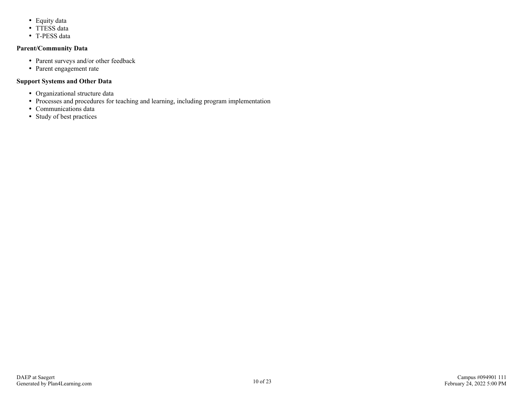- Equity data
- TTESS data
- T-PESS data

### **Parent/Community Data**

- Parent surveys and/or other feedback
- Parent engagement rate

### **Support Systems and Other Data**

- Organizational structure data
- Processes and procedures for teaching and learning, including program implementation
- Communications data
- Study of best practices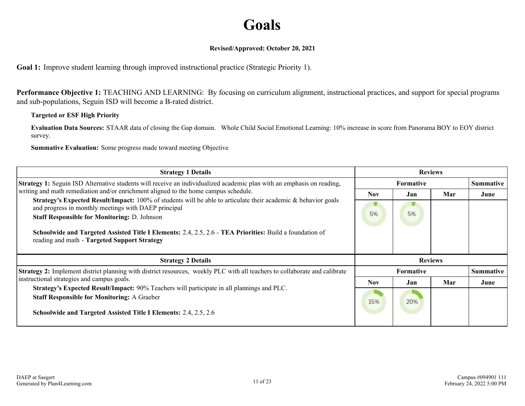## **Goals**

### **Revised/Approved: October 20, 2021**

<span id="page-10-0"></span>**Goal 1:** Improve student learning through improved instructional practice (Strategic Priority 1).

**Performance Objective 1:** TEACHING AND LEARNING: By focusing on curriculum alignment, instructional practices, and support for special programs and sub-populations, Seguin ISD will become a B-rated district.

### **Targeted or ESF High Priority**

**Evaluation Data Sources:** STAAR data of closing the Gap domain. Whole Child Social Emotional Learning: 10% increase in score from Panorama BOY to EOY district survey.

| <b>Strategy 1 Details</b>                                                                                                                                              | <b>Reviews</b>   |     |     |                  |  |                  |
|------------------------------------------------------------------------------------------------------------------------------------------------------------------------|------------------|-----|-----|------------------|--|------------------|
| Strategy 1: Seguin ISD Alternative students will receive an individualized academic plan with an emphasis on reading,                                                  | <b>Formative</b> |     |     |                  |  | <b>Summative</b> |
| writing and math remediation and/or enrichment aligned to the home campus schedule.                                                                                    | <b>Nov</b>       | Jan | Mar | June             |  |                  |
| Strategy's Expected Result/Impact: 100% of students will be able to articulate their academic & behavior goals<br>and progress in monthly meetings with DAEP principal | 5%               | 5%  |     |                  |  |                  |
| <b>Staff Responsible for Monitoring: D. Johnson</b>                                                                                                                    |                  |     |     |                  |  |                  |
| Schoolwide and Targeted Assisted Title I Elements: 2.4, 2.5, 2.6 - TEA Priorities: Build a foundation of<br>reading and math - Targeted Support Strategy               |                  |     |     |                  |  |                  |
| <b>Strategy 2 Details</b>                                                                                                                                              | <b>Reviews</b>   |     |     |                  |  |                  |
| Strategy 2: Implement district planning with district resources, weekly PLC with all teachers to collaborate and calibrate                                             | Formative        |     |     | <b>Summative</b> |  |                  |
| instructional strategies and campus goals.                                                                                                                             | <b>Nov</b>       | Jan | Mar | June             |  |                  |
| <b>Strategy's Expected Result/Impact:</b> 90% Teachers will participate in all plannings and PLC.<br><b>Staff Responsible for Monitoring: A Graeber</b>                |                  | 20% |     |                  |  |                  |
| Schoolwide and Targeted Assisted Title I Elements: 2.4, 2.5, 2.6                                                                                                       |                  |     |     |                  |  |                  |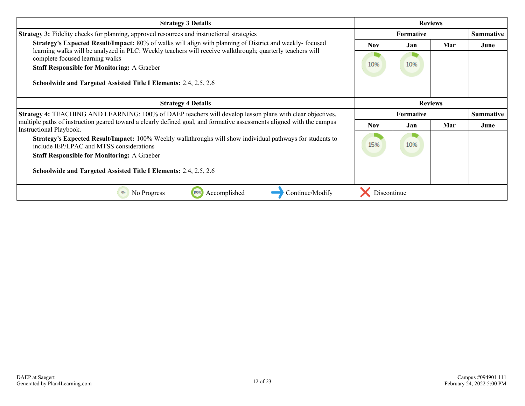| <b>Strategy 3 Details</b>                                                                                                                                                  |                  |     | <b>Reviews</b> |                  |
|----------------------------------------------------------------------------------------------------------------------------------------------------------------------------|------------------|-----|----------------|------------------|
| <b>Strategy 3:</b> Fidelity checks for planning, approved resources and instructional strategies                                                                           | <b>Formative</b> |     |                | <b>Summative</b> |
| Strategy's Expected Result/Impact: 80% of walks will align with planning of District and weekly-focused                                                                    | <b>Nov</b>       | Jan | Mar            | June             |
| learning walks will be analyzed in PLC: Weekly teachers will receive walkthrough; quarterly teachers will<br>complete focused learning walks                               |                  |     |                |                  |
| <b>Staff Responsible for Monitoring: A Graeber</b>                                                                                                                         | 10%              | 10% |                |                  |
| Schoolwide and Targeted Assisted Title I Elements: 2.4, 2.5, 2.6                                                                                                           |                  |     |                |                  |
| <b>Strategy 4 Details</b>                                                                                                                                                  |                  |     | <b>Reviews</b> |                  |
| <b>Strategy 4: TEACHING AND LEARNING: 100% of DAEP teachers will develop lesson plans with clear objectives,</b>                                                           | Formative        |     |                | Summative        |
| multiple paths of instruction geared toward a clearly defined goal, and formative assessments aligned with the campus<br>Instructional Playbook.                           | Nov.             | Jan | Mar            | June             |
| <b>Strategy's Expected Result/Impact:</b> 100% Weekly walkthroughs will show individual pathways for students to<br>10%<br>15%<br>include IEP/LPAC and MTSS considerations |                  |     |                |                  |
| <b>Staff Responsible for Monitoring: A Graeber</b>                                                                                                                         |                  |     |                |                  |
| Schoolwide and Targeted Assisted Title I Elements: 2.4, 2.5, 2.6                                                                                                           |                  |     |                |                  |
| Continue/Modify<br>No Progress<br>Accomplished<br>0%<br>100%                                                                                                               | Discontinue      |     |                |                  |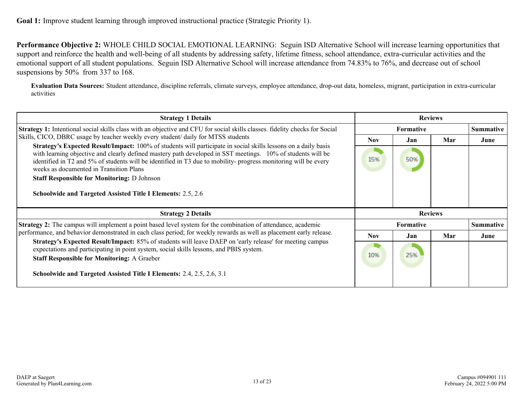**Performance Objective 2:** WHOLE CHILD SOCIAL EMOTIONAL LEARNING: Seguin ISD Alternative School will increase learning opportunities that support and reinforce the health and well-being of all students by addressing safety, lifetime fitness, school attendance, extra-curricular activities and the emotional support of all student populations. Seguin ISD Alternative School will increase attendance from 74.83% to 76%, and decrease out of school suspensions by 50% from 337 to 168.

**Evaluation Data Sources:** Student attendance, discipline referrals, climate surveys, employee attendance, drop-out data, homeless, migrant, participation in extra-curricular activities

| <b>Strategy 1 Details</b>                                                                                                                                                                                                                                                                                                                                                                         |                  | <b>Reviews</b> |     |                  |  |
|---------------------------------------------------------------------------------------------------------------------------------------------------------------------------------------------------------------------------------------------------------------------------------------------------------------------------------------------------------------------------------------------------|------------------|----------------|-----|------------------|--|
| Strategy 1: Intentional social skills class with an objective and CFU for social skills classes. fidelity checks for Social                                                                                                                                                                                                                                                                       | <b>Formative</b> |                |     | <b>Summative</b> |  |
| Skills, CICO, DBRC usage by teacher weekly every student/ daily for MTSS students                                                                                                                                                                                                                                                                                                                 | <b>Nov</b>       | .Jan           | Mar | June             |  |
| <b>Strategy's Expected Result/Impact:</b> 100% of students will participate in social skills lessons on a daily basis<br>with learning objective and clearly defined mastery path developed in SST meetings. 10% of students will be<br>identified in T2 and 5% of students will be identified in T3 due to mobility-progress monitoring will be every<br>weeks as documented in Transition Plans |                  | 50%            |     |                  |  |
| <b>Staff Responsible for Monitoring: D Johnson</b>                                                                                                                                                                                                                                                                                                                                                |                  |                |     |                  |  |
| <b>Schoolwide and Targeted Assisted Title I Elements: 2.5, 2.6</b>                                                                                                                                                                                                                                                                                                                                |                  |                |     |                  |  |
| <b>Strategy 2 Details</b>                                                                                                                                                                                                                                                                                                                                                                         |                  | <b>Reviews</b> |     |                  |  |
| <b>Strategy 2:</b> The campus will implement a point based level system for the combination of attendance, academic                                                                                                                                                                                                                                                                               | <b>Formative</b> |                |     | <b>Summative</b> |  |
| performance, and behavior demonstrated in each class period; for weekly rewards as well as placement early release.                                                                                                                                                                                                                                                                               | Nov.             | Jan            | Mar | June             |  |
| Strategy's Expected Result/Impact: 85% of students will leave DAEP on 'early release' for meeting campus<br>expectations and participating in point system, social skills lessons, and PBIS system.<br><b>Staff Responsible for Monitoring: A Graeber</b>                                                                                                                                         |                  | 25%            |     |                  |  |
| Schoolwide and Targeted Assisted Title I Elements: 2.4, 2.5, 2.6, 3.1                                                                                                                                                                                                                                                                                                                             |                  |                |     |                  |  |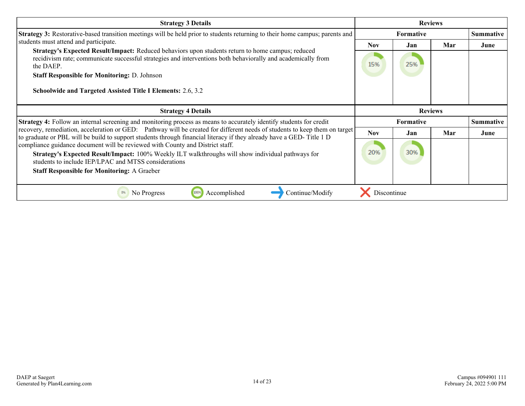| <b>Strategy 3 Details</b>                                                                                                                                                                                                                          |                  | <b>Reviews</b> |     |                  |
|----------------------------------------------------------------------------------------------------------------------------------------------------------------------------------------------------------------------------------------------------|------------------|----------------|-----|------------------|
| Strategy 3: Restorative-based transition meetings will be held prior to students returning to their home campus; parents and                                                                                                                       | <b>Formative</b> |                |     | <b>Summative</b> |
| students must attend and participate.                                                                                                                                                                                                              | <b>Nov</b>       | Jan            | Mar | June             |
| Strategy's Expected Result/Impact: Reduced behaviors upon students return to home campus; reduced<br>recidivism rate; communicate successful strategies and interventions both behaviorally and academically from<br>the DAEP.                     | 15%              | 25%            |     |                  |
| <b>Staff Responsible for Monitoring: D. Johnson</b>                                                                                                                                                                                                |                  |                |     |                  |
| <b>Schoolwide and Targeted Assisted Title I Elements: 2.6, 3.2</b>                                                                                                                                                                                 |                  |                |     |                  |
| <b>Strategy 4 Details</b>                                                                                                                                                                                                                          | <b>Reviews</b>   |                |     |                  |
| <b>Strategy 4:</b> Follow an internal screening and monitoring process as means to accurately identify students for credit                                                                                                                         | <b>Formative</b> |                |     | <b>Summative</b> |
| recovery, remediation, acceleration or GED: Pathway will be created for different needs of students to keep them on target<br>to graduate or PBL will be build to support students through financial literacy if they already have a GED-Title 1 D | <b>Nov</b>       | Jan            | Mar | June             |
| compliance guidance document will be reviewed with County and District staff.                                                                                                                                                                      |                  |                |     |                  |
| Strategy's Expected Result/Impact: 100% Weekly ILT walkthroughs will show individual pathways for<br>students to include IEP/LPAC and MTSS considerations                                                                                          | 20%              | 30%            |     |                  |
| <b>Staff Responsible for Monitoring: A Graeber</b>                                                                                                                                                                                                 |                  |                |     |                  |
|                                                                                                                                                                                                                                                    |                  |                |     |                  |
|                                                                                                                                                                                                                                                    |                  |                |     |                  |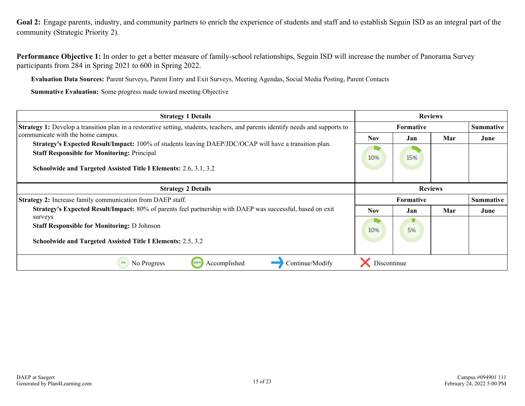<span id="page-14-0"></span>**Goal 2:** Engage parents, industry, and community partners to enrich the experience of students and staff and to establish Seguin ISD as an integral part of the community (Strategic Priority 2).

**Performance Objective 1:** In order to get a better measure of family-school relationships, Seguin ISD will increase the number of Panorama Survey participants from 284 in Spring 2021 to 600 in Spring 2022.

**Evaluation Data Sources:** Parent Surveys, Parent Entry and Exit Surveys, Meeting Agendas, Social Media Posting, Parent Contacts

| <b>Strategy 1 Details</b>                                                                                                                                                                                                        |                  | <b>Reviews</b>   |                |                  |
|----------------------------------------------------------------------------------------------------------------------------------------------------------------------------------------------------------------------------------|------------------|------------------|----------------|------------------|
| <b>Strategy 1:</b> Develop a transition plan in a restorative setting, students, teachers, and parents identify needs and supports to                                                                                            | <b>Formative</b> |                  |                | <b>Summative</b> |
| communicate with the home campus.                                                                                                                                                                                                | <b>Nov</b>       | Jan              | Mar            | June             |
| Strategy's Expected Result/Impact: 100% of students leaving DAEP/JDC/OCAP will have a transition plan.<br><b>Staff Responsible for Monitoring: Principal</b><br>Schoolwide and Targeted Assisted Title I Elements: 2.6, 3.1, 3.2 | 10%              | 15%              |                |                  |
| <b>Strategy 2 Details</b>                                                                                                                                                                                                        |                  |                  | <b>Reviews</b> |                  |
| <b>Strategy 2:</b> Increase family communication from DAEP staff.                                                                                                                                                                |                  | <b>Formative</b> |                | <b>Summative</b> |
| Strategy's Expected Result/Impact: 80% of parents feel partnership with DAEP was successful, based on exit                                                                                                                       | <b>Nov</b>       | Jan              | Mar            | June             |
| surveys<br><b>Staff Responsible for Monitoring: D Johnson</b><br><b>Schoolwide and Targeted Assisted Title I Elements: 2.5, 3.2</b>                                                                                              | 10%              | 5%               |                |                  |
| 100%<br>Accomplished<br>Continue/Modify<br>0%<br>No Progress                                                                                                                                                                     | Discontinue      |                  |                |                  |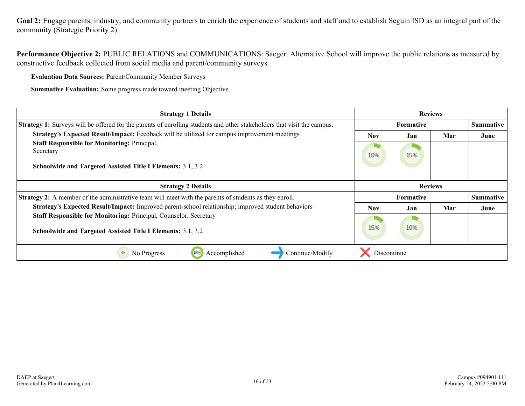Goal 2: Engage parents, industry, and community partners to enrich the experience of students and staff and to establish Seguin ISD as an integral part of the community (Strategic Priority 2).

**Performance Objective 2:** PUBLIC RELATIONS and COMMUNICATIONS: Saegert Alternative School will improve the public relations as measured by constructive feedback collected from social media and parent/community surveys.

**Evaluation Data Sources:** Parent/Community Member Surveys

| <b>Strategy 1 Details</b>                                                                                                              |                          | <b>Reviews</b> |     |                  |
|----------------------------------------------------------------------------------------------------------------------------------------|--------------------------|----------------|-----|------------------|
| Strategy 1: Surveys will be offered for the parents of enrolling students and other stakeholders that visit the campus.                | <b>Formative</b>         |                |     | <b>Summative</b> |
| Strategy's Expected Result/Impact: Feedback will be utilized for campus improvement meetings                                           | Nov.                     | Jan            | Mar | June             |
| <b>Staff Responsible for Monitoring: Principal,</b><br>Secretary<br><b>Schoolwide and Targeted Assisted Title I Elements: 3.1, 3.2</b> | 10%                      | 15%            |     |                  |
| <b>Strategy 2 Details</b>                                                                                                              |                          | <b>Reviews</b> |     |                  |
| <b>Strategy 2:</b> A member of the administrative team will meet with the parents of students as they enroll.                          | <b>Formative</b>         |                |     | <b>Summative</b> |
| Strategy's Expected Result/Impact: Improved parent-school relationship; improved student behaviors                                     | Mar<br><b>Nov</b><br>Jan |                |     | June             |
| Staff Responsible for Monitoring: Principal, Counselor, Secretary<br>Schoolwide and Targeted Assisted Title I Elements: 3.1, 3.2       | 15%                      | 10%            |     |                  |
| 0%<br>Continue/Modify<br>No Progress<br>100%<br>Accomplished                                                                           | Discontinue              |                |     |                  |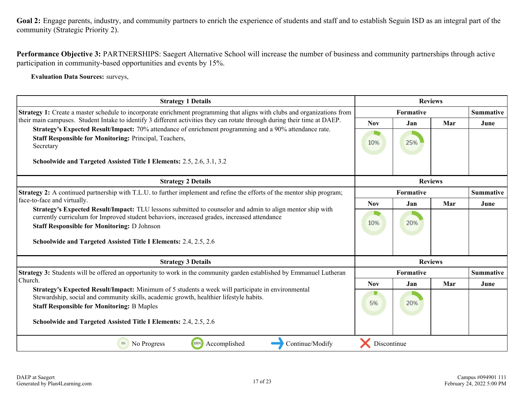Goal 2: Engage parents, industry, and community partners to enrich the experience of students and staff and to establish Seguin ISD as an integral part of the community (Strategic Priority 2).

**Performance Objective 3:** PARTNERSHIPS: Saegert Alternative School will increase the number of business and community partnerships through active participation in community-based opportunities and events by 15%.

**Evaluation Data Sources:** surveys,

| <b>Strategy 1 Details</b>                                                                                                                                                                                                                        |             | <b>Reviews</b> |     |                  |
|--------------------------------------------------------------------------------------------------------------------------------------------------------------------------------------------------------------------------------------------------|-------------|----------------|-----|------------------|
| Strategy 1: Create a master schedule to incorporate enrichment programming that aligns with clubs and organizations from                                                                                                                         | Formative   |                |     | <b>Summative</b> |
| their main campuses. Student Intake to identify 3 different activities they can rotate through during their time at DAEP.                                                                                                                        | <b>Nov</b>  | Jan            | Mar | June             |
| Strategy's Expected Result/Impact: 70% attendance of enrichment programming and a 90% attendance rate.<br>Staff Responsible for Monitoring: Principal, Teachers,<br>Secretary                                                                    | 10%         | 25%            |     |                  |
| Schoolwide and Targeted Assisted Title I Elements: 2.5, 2.6, 3.1, 3.2                                                                                                                                                                            |             |                |     |                  |
| <b>Strategy 2 Details</b>                                                                                                                                                                                                                        |             | <b>Reviews</b> |     |                  |
| Strategy 2: A continued partnership with T.L.U. to further implement and refine the efforts of the mentor ship program;                                                                                                                          |             | Formative      |     | <b>Summative</b> |
| face-to-face and virtually.<br>Strategy's Expected Result/Impact: TLU lessons submitted to counselor and admin to align mentor ship with                                                                                                         | <b>Nov</b>  | Jan            | Mar | June             |
| currently curriculum for Improved student behaviors, increased grades, increased attendance<br><b>Staff Responsible for Monitoring: D Johnson</b>                                                                                                | 10%         | 20%            |     |                  |
| Schoolwide and Targeted Assisted Title I Elements: 2.4, 2.5, 2.6                                                                                                                                                                                 |             |                |     |                  |
| <b>Strategy 3 Details</b>                                                                                                                                                                                                                        |             | <b>Reviews</b> |     |                  |
| Strategy 3: Students will be offered an opportunity to work in the community garden established by Emmanuel Lutheran                                                                                                                             |             | Formative      |     | <b>Summative</b> |
| Church.                                                                                                                                                                                                                                          | <b>Nov</b>  | Jan            | Mar | June             |
| Strategy's Expected Result/Impact: Minimum of 5 students a week will participate in environmental<br>Stewardship, social and community skills, academic growth, healthier lifestyle habits.<br><b>Staff Responsible for Monitoring: B Maples</b> | 5%          | 20%            |     |                  |
| Schoolwide and Targeted Assisted Title I Elements: 2.4, 2.5, 2.6                                                                                                                                                                                 |             |                |     |                  |
| 100%<br>Accomplished<br>Continue/Modify<br>0%<br>No Progress                                                                                                                                                                                     | Discontinue |                |     |                  |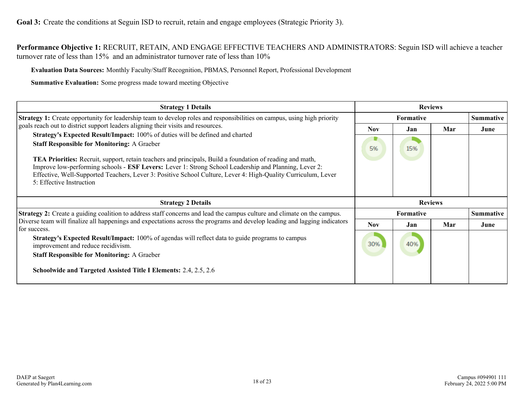<span id="page-17-0"></span>**Performance Objective 1:** RECRUIT, RETAIN, AND ENGAGE EFFECTIVE TEACHERS AND ADMINISTRATORS: Seguin ISD will achieve a teacher turnover rate of less than 15% and an administrator turnover rate of less than 10%

**Evaluation Data Sources:** Monthly Faculty/Staff Recognition, PBMAS, Personnel Report, Professional Development

| <b>Strategy 1 Details</b>                                                                                                                                                                                                                                                                                                                                                                                                                                                                              |                  | <b>Reviews</b> |     |                  |  |
|--------------------------------------------------------------------------------------------------------------------------------------------------------------------------------------------------------------------------------------------------------------------------------------------------------------------------------------------------------------------------------------------------------------------------------------------------------------------------------------------------------|------------------|----------------|-----|------------------|--|
| <b>Strategy 1:</b> Create opportunity for leadership team to develop roles and responsibilities on campus, using high priority                                                                                                                                                                                                                                                                                                                                                                         | <b>Formative</b> |                |     | <b>Summative</b> |  |
| goals reach out to district support leaders aligning their visits and resources.                                                                                                                                                                                                                                                                                                                                                                                                                       | <b>Nov</b>       | Jan            | Mar | June             |  |
| Strategy's Expected Result/Impact: 100% of duties will be defined and charted<br><b>Staff Responsible for Monitoring: A Graeber</b><br>TEA Priorities: Recruit, support, retain teachers and principals, Build a foundation of reading and math,<br>Improve low-performing schools - ESF Levers: Lever 1: Strong School Leadership and Planning, Lever 2:<br>Effective, Well-Supported Teachers, Lever 3: Positive School Culture, Lever 4: High-Quality Curriculum, Lever<br>5: Effective Instruction |                  | 15%            |     |                  |  |
| <b>Strategy 2 Details</b>                                                                                                                                                                                                                                                                                                                                                                                                                                                                              |                  | <b>Reviews</b> |     |                  |  |
| <b>Strategy 2:</b> Create a guiding coalition to address staff concerns and lead the campus culture and climate on the campus.                                                                                                                                                                                                                                                                                                                                                                         | <b>Formative</b> |                |     | <b>Summative</b> |  |
| Diverse team will finalize all happenings and expectations across the programs and develop leading and lagging indicators<br>for success.                                                                                                                                                                                                                                                                                                                                                              | <b>Nov</b>       | Jan            | Mar | June             |  |
| Strategy's Expected Result/Impact: 100% of agendas will reflect data to guide programs to campus<br>improvement and reduce recidivism.<br><b>Staff Responsible for Monitoring: A Graeber</b>                                                                                                                                                                                                                                                                                                           |                  | 40%            |     |                  |  |
| Schoolwide and Targeted Assisted Title I Elements: 2.4, 2.5, 2.6                                                                                                                                                                                                                                                                                                                                                                                                                                       |                  |                |     |                  |  |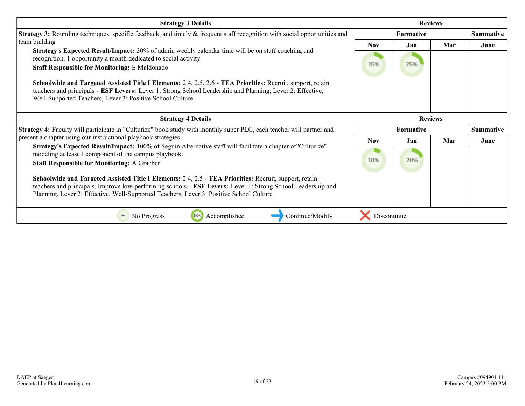| <b>Strategy 3 Details</b>                                                                                                                                                                                                                                                                                        |                  |     | <b>Reviews</b> |                  |
|------------------------------------------------------------------------------------------------------------------------------------------------------------------------------------------------------------------------------------------------------------------------------------------------------------------|------------------|-----|----------------|------------------|
| <b>Strategy 3:</b> Rounding techniques, specific feedback, and timely & frequent staff recognition with social opportunities and                                                                                                                                                                                 | Formative        |     |                | <b>Summative</b> |
| team building                                                                                                                                                                                                                                                                                                    | <b>Nov</b>       | Jan | Mar            | June             |
| Strategy's Expected Result/Impact: 30% of admin weekly calendar time will be on staff coaching and<br>recognition. 1 opportunity a month dedicated to social activity                                                                                                                                            |                  |     |                |                  |
| <b>Staff Responsible for Monitoring: E Maldonado</b>                                                                                                                                                                                                                                                             | 15%              | 25% |                |                  |
| Schoolwide and Targeted Assisted Title I Elements: 2.4, 2.5, 2.6 - TEA Priorities: Recruit, support, retain<br>teachers and principals - ESF Levers: Lever 1: Strong School Leadership and Planning, Lever 2: Effective,<br>Well-Supported Teachers, Lever 3: Positive School Culture                            |                  |     |                |                  |
| <b>Strategy 4 Details</b>                                                                                                                                                                                                                                                                                        |                  |     | <b>Reviews</b> |                  |
| Strategy 4: Faculty will participate in "Culturize" book study with monthly super PLC, each teacher will partner and                                                                                                                                                                                             | <b>Formative</b> |     |                | <b>Summative</b> |
| present a chapter using our instructional playbook strategies                                                                                                                                                                                                                                                    | <b>Nov</b>       | Jan | Mar            | June             |
| Strategy's Expected Result/Impact: 100% of Seguin Alternative staff will facilitate a chapter of 'Culturize"<br>modeling at least 1 component of the campus playbook.<br><b>Staff Responsible for Monitoring: A Graeber</b>                                                                                      | 10%              | 20% |                |                  |
| Schoolwide and Targeted Assisted Title I Elements: 2.4, 2.5 - TEA Priorities: Recruit, support, retain<br>teachers and principals, Improve low-performing schools - ESF Levers: Lever 1: Strong School Leadership and<br>Planning, Lever 2: Effective, Well-Supported Teachers, Lever 3: Positive School Culture |                  |     |                |                  |
| No Progress<br>100%<br>Accomplished<br>Continue/Modify<br>0%                                                                                                                                                                                                                                                     | Discontinue      |     |                |                  |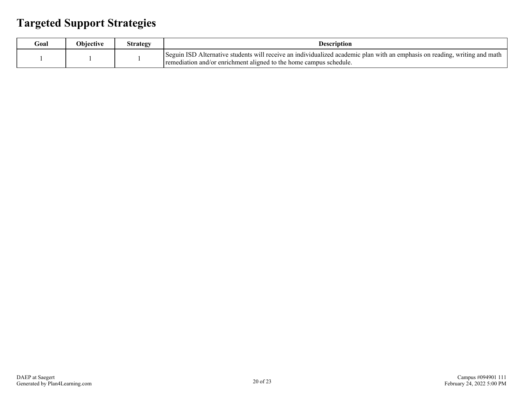### <span id="page-19-0"></span>**Targeted Support Strategies**

| Goal | <b>Objective</b> | Strategy | <b>Description</b>                                                                                                                                                                               |
|------|------------------|----------|--------------------------------------------------------------------------------------------------------------------------------------------------------------------------------------------------|
|      |                  |          | Seguin ISD Alternative students will receive an individualized academic plan with an emphasis on reading, writing and math<br>remediation and/or enrichment aligned to the home campus schedule. |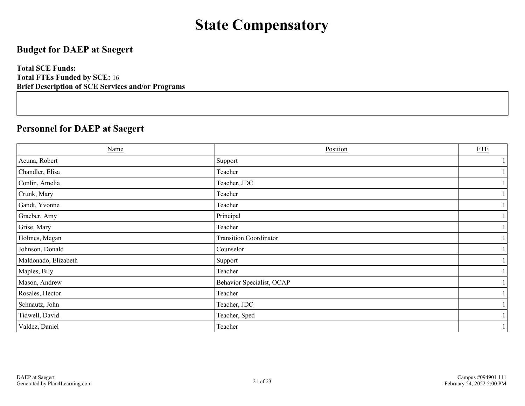## **State Compensatory**

### <span id="page-20-0"></span>**Budget for DAEP at Saegert**

**Total SCE Funds: Total FTEs Funded by SCE:** 16 **Brief Description of SCE Services and/or Programs**

### **Personnel for DAEP at Saegert**

| Name                 | Position                      | <b>FTE</b> |
|----------------------|-------------------------------|------------|
| Acuna, Robert        | Support                       |            |
| Chandler, Elisa      | Teacher                       |            |
| Conlin, Amelia       | Teacher, JDC                  |            |
| Crunk, Mary          | Teacher                       |            |
| Gandt, Yvonne        | Teacher                       |            |
| Graeber, Amy         | Principal                     |            |
| Grise, Mary          | Teacher                       |            |
| Holmes, Megan        | <b>Transition Coordinator</b> |            |
| Johnson, Donald      | Counselor                     |            |
| Maldonado, Elizabeth | Support                       |            |
| Maples, Bily         | Teacher                       |            |
| Mason, Andrew        | Behavior Specialist, OCAP     |            |
| Rosales, Hector      | Teacher                       |            |
| Schnautz, John       | Teacher, JDC                  |            |
| Tidwell, David       | Teacher, Sped                 |            |
| Valdez, Daniel       | Teacher                       |            |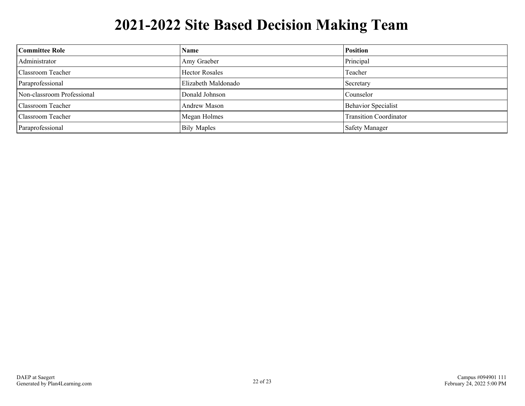## **2021-2022 Site Based Decision Making Team**

<span id="page-21-0"></span>

| Committee Role             | <b>Name</b>           | <b>Position</b>               |
|----------------------------|-----------------------|-------------------------------|
| Administrator              | Amy Graeber           | Principal                     |
| Classroom Teacher          | <b>Hector Rosales</b> | Teacher                       |
| Paraprofessional           | Elizabeth Maldonado   | Secretary                     |
| Non-classroom Professional | Donald Johnson        | Counselor                     |
| Classroom Teacher          | Andrew Mason          | <b>Behavior Specialist</b>    |
| Classroom Teacher          | Megan Holmes          | <b>Transition Coordinator</b> |
| Paraprofessional           | <b>Bily Maples</b>    | <b>Safety Manager</b>         |